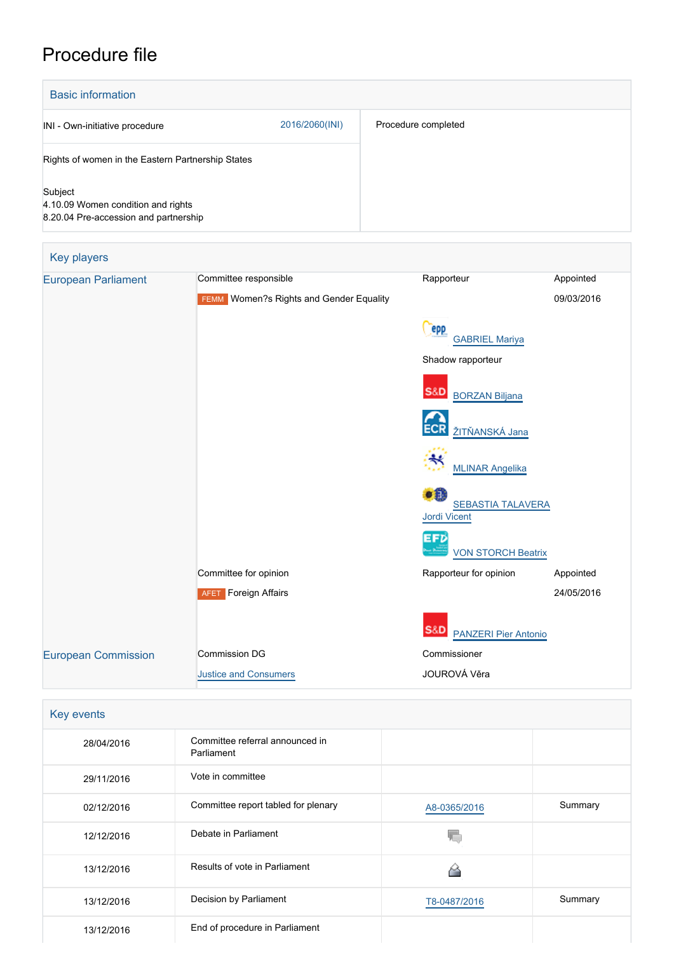## Procedure file

| <b>Basic information</b>                                                               |                |                     |  |  |
|----------------------------------------------------------------------------------------|----------------|---------------------|--|--|
| INI - Own-initiative procedure                                                         | 2016/2060(INI) | Procedure completed |  |  |
| Rights of women in the Eastern Partnership States                                      |                |                     |  |  |
| Subject<br>4.10.09 Women condition and rights<br>8.20.04 Pre-accession and partnership |                |                     |  |  |

| Key players                |                                                |                                                 |            |
|----------------------------|------------------------------------------------|-------------------------------------------------|------------|
| <b>European Parliament</b> | Committee responsible                          | Rapporteur                                      | Appointed  |
|                            | <b>FEMM</b> Women?s Rights and Gender Equality |                                                 | 09/03/2016 |
|                            |                                                | epp<br><b>GABRIEL Mariya</b>                    |            |
|                            |                                                | Shadow rapporteur                               |            |
|                            |                                                | <b>S&amp;D</b><br><b>BORZAN Biljana</b>         |            |
|                            |                                                | ŽITŇANSKÁ Jana                                  |            |
|                            |                                                | <b>MLINAR Angelika</b>                          |            |
|                            |                                                | o a<br><b>SEBASTIA TALAVERA</b><br>Jordi Vicent |            |
|                            |                                                | EFD<br><b>VON STORCH Beatrix</b>                |            |
|                            | Committee for opinion                          | Rapporteur for opinion                          | Appointed  |
|                            | <b>AFET</b> Foreign Affairs                    |                                                 | 24/05/2016 |
|                            |                                                | S&DI<br><b>PANZERI Pier Antonio</b>             |            |
| <b>European Commission</b> | <b>Commission DG</b>                           | Commissioner                                    |            |
|                            | <b>Justice and Consumers</b>                   | JOUROVÁ Věra                                    |            |

| <b>Key events</b> |
|-------------------|
|-------------------|

| 28/04/2016 | Committee referral announced in<br>Parliament |              |         |
|------------|-----------------------------------------------|--------------|---------|
| 29/11/2016 | Vote in committee                             |              |         |
| 02/12/2016 | Committee report tabled for plenary           | A8-0365/2016 | Summary |
| 12/12/2016 | Debate in Parliament                          |              |         |
| 13/12/2016 | Results of vote in Parliament                 |              |         |
| 13/12/2016 | Decision by Parliament                        | T8-0487/2016 | Summary |
| 13/12/2016 | End of procedure in Parliament                |              |         |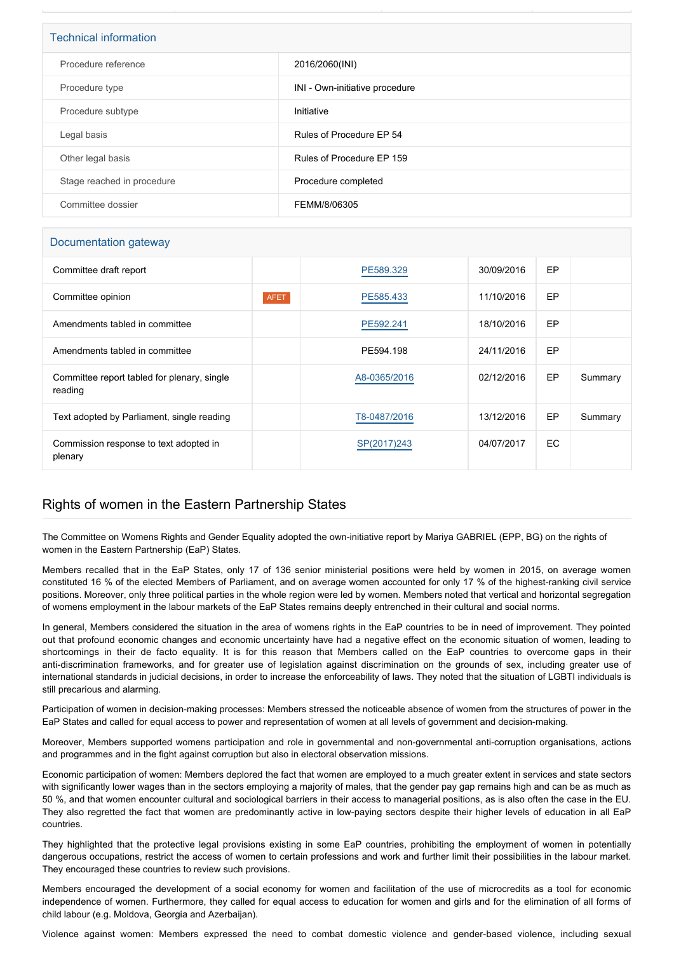| <b>Technical information</b> |                                |  |
|------------------------------|--------------------------------|--|
|                              |                                |  |
| Procedure reference          | 2016/2060(INI)                 |  |
| Procedure type               | INI - Own-initiative procedure |  |
|                              |                                |  |
|                              |                                |  |
| Procedure subtype            | Initiative                     |  |
|                              |                                |  |
| Legal basis                  | Rules of Procedure EP 54       |  |
|                              |                                |  |
| Other legal basis            | Rules of Procedure EP 159      |  |
|                              |                                |  |
| Stage reached in procedure   | Procedure completed            |  |
|                              |                                |  |
| Committee dossier            | FEMM/8/06305                   |  |
|                              |                                |  |

## Documentation gateway

| Committee draft report                                 |             | PE589.329    | 30/09/2016 | EP  |         |
|--------------------------------------------------------|-------------|--------------|------------|-----|---------|
| Committee opinion                                      | <b>AFET</b> | PE585.433    | 11/10/2016 | EP  |         |
| Amendments tabled in committee                         |             | PE592.241    | 18/10/2016 | EP  |         |
| Amendments tabled in committee                         |             | PE594.198    | 24/11/2016 | EP  |         |
| Committee report tabled for plenary, single<br>reading |             | A8-0365/2016 | 02/12/2016 | EP  | Summary |
| Text adopted by Parliament, single reading             |             | T8-0487/2016 | 13/12/2016 | EP  | Summary |
| Commission response to text adopted in<br>plenary      |             | SP(2017)243  | 04/07/2017 | EC. |         |

## Rights of women in the Eastern Partnership States

The Committee on Womens Rights and Gender Equality adopted the own-initiative report by Mariya GABRIEL (EPP, BG) on the rights of women in the Eastern Partnership (EaP) States.

Members recalled that in the EaP States, only 17 of 136 senior ministerial positions were held by women in 2015, on average women constituted 16 % of the elected Members of Parliament, and on average women accounted for only 17 % of the highest-ranking civil service positions. Moreover, only three political parties in the whole region were led by women. Members noted that vertical and horizontal segregation of womens employment in the labour markets of the EaP States remains deeply entrenched in their cultural and social norms.

In general, Members considered the situation in the area of womens rights in the EaP countries to be in need of improvement. They pointed out that profound economic changes and economic uncertainty have had a negative effect on the economic situation of women, leading to shortcomings in their de facto equality. It is for this reason that Members called on the EaP countries to overcome gaps in their anti-discrimination frameworks, and for greater use of legislation against discrimination on the grounds of sex, including greater use of international standards in judicial decisions, in order to increase the enforceability of laws. They noted that the situation of LGBTI individuals is still precarious and alarming.

Participation of women in decision-making processes: Members stressed the noticeable absence of women from the structures of power in the EaP States and called for equal access to power and representation of women at all levels of government and decision-making.

Moreover, Members supported womens participation and role in governmental and non-governmental anti-corruption organisations, actions and programmes and in the fight against corruption but also in electoral observation missions.

Economic participation of women: Members deplored the fact that women are employed to a much greater extent in services and state sectors with significantly lower wages than in the sectors employing a majority of males, that the gender pay gap remains high and can be as much as 50 %, and that women encounter cultural and sociological barriers in their access to managerial positions, as is also often the case in the EU. They also regretted the fact that women are predominantly active in low-paying sectors despite their higher levels of education in all EaP countries.

They highlighted that the protective legal provisions existing in some EaP countries, prohibiting the employment of women in potentially dangerous occupations, restrict the access of women to certain professions and work and further limit their possibilities in the labour market. They encouraged these countries to review such provisions.

Members encouraged the development of a social economy for women and facilitation of the use of microcredits as a tool for economic independence of women. Furthermore, they called for equal access to education for women and girls and for the elimination of all forms of child labour (e.g. Moldova, Georgia and Azerbaijan).

Violence against women: Members expressed the need to combat domestic violence and gender-based violence, including sexual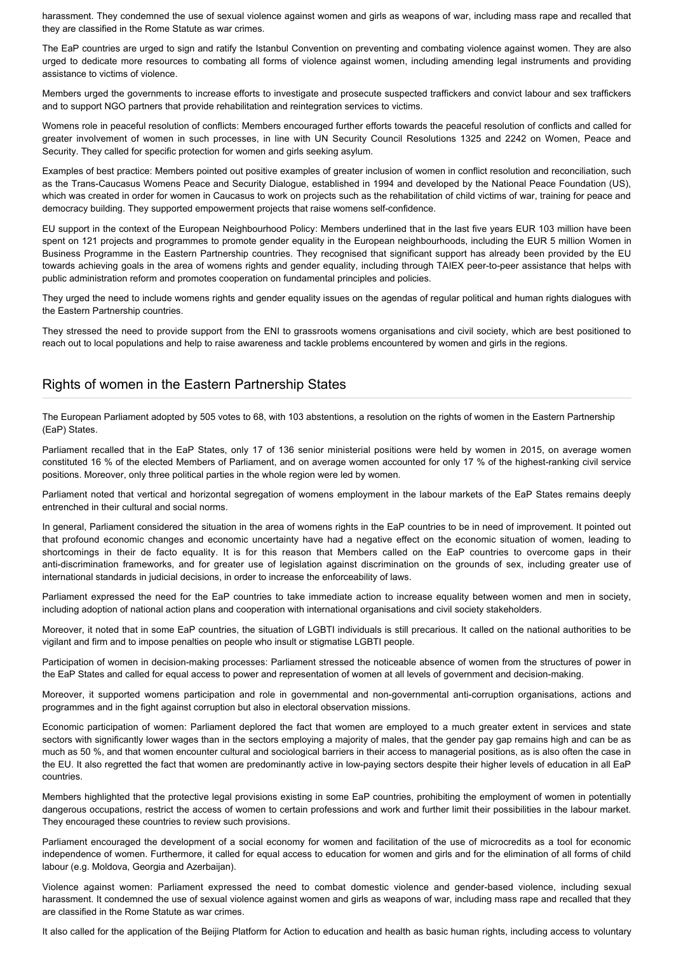harassment. They condemned the use of sexual violence against women and girls as weapons of war, including mass rape and recalled that they are classified in the Rome Statute as war crimes.

The EaP countries are urged to sign and ratify the Istanbul Convention on preventing and combating violence against women. They are also urged to dedicate more resources to combating all forms of violence against women, including amending legal instruments and providing assistance to victims of violence.

Members urged the governments to increase efforts to investigate and prosecute suspected traffickers and convict labour and sex traffickers and to support NGO partners that provide rehabilitation and reintegration services to victims.

Womens role in peaceful resolution of conflicts: Members encouraged further efforts towards the peaceful resolution of conflicts and called for greater involvement of women in such processes, in line with UN Security Council Resolutions 1325 and 2242 on Women, Peace and Security. They called for specific protection for women and girls seeking asylum.

Examples of best practice: Members pointed out positive examples of greater inclusion of women in conflict resolution and reconciliation, such as the Trans-Caucasus Womens Peace and Security Dialogue, established in 1994 and developed by the National Peace Foundation (US), which was created in order for women in Caucasus to work on projects such as the rehabilitation of child victims of war, training for peace and democracy building. They supported empowerment projects that raise womens self-confidence.

EU support in the context of the European Neighbourhood Policy: Members underlined that in the last five years EUR 103 million have been spent on 121 projects and programmes to promote gender equality in the European neighbourhoods, including the EUR 5 million Women in Business Programme in the Eastern Partnership countries. They recognised that significant support has already been provided by the EU towards achieving goals in the area of womens rights and gender equality, including through TAIEX peer-to-peer assistance that helps with public administration reform and promotes cooperation on fundamental principles and policies.

They urged the need to include womens rights and gender equality issues on the agendas of regular political and human rights dialogues with the Eastern Partnership countries.

They stressed the need to provide support from the ENI to grassroots womens organisations and civil society, which are best positioned to reach out to local populations and help to raise awareness and tackle problems encountered by women and girls in the regions.

## Rights of women in the Eastern Partnership States

The European Parliament adopted by 505 votes to 68, with 103 abstentions, a resolution on the rights of women in the Eastern Partnership (EaP) States.

Parliament recalled that in the EaP States, only 17 of 136 senior ministerial positions were held by women in 2015, on average women constituted 16 % of the elected Members of Parliament, and on average women accounted for only 17 % of the highest-ranking civil service positions. Moreover, only three political parties in the whole region were led by women.

Parliament noted that vertical and horizontal segregation of womens employment in the labour markets of the EaP States remains deeply entrenched in their cultural and social norms.

In general, Parliament considered the situation in the area of womens rights in the EaP countries to be in need of improvement. It pointed out that profound economic changes and economic uncertainty have had a negative effect on the economic situation of women, leading to shortcomings in their de facto equality. It is for this reason that Members called on the EaP countries to overcome gaps in their anti-discrimination frameworks, and for greater use of legislation against discrimination on the grounds of sex, including greater use of international standards in judicial decisions, in order to increase the enforceability of laws.

Parliament expressed the need for the EaP countries to take immediate action to increase equality between women and men in society, including adoption of national action plans and cooperation with international organisations and civil society stakeholders.

Moreover, it noted that in some EaP countries, the situation of LGBTI individuals is still precarious. It called on the national authorities to be vigilant and firm and to impose penalties on people who insult or stigmatise LGBTI people.

Participation of women in decision-making processes: Parliament stressed the noticeable absence of women from the structures of power in the EaP States and called for equal access to power and representation of women at all levels of government and decision-making.

Moreover, it supported womens participation and role in governmental and non-governmental anti-corruption organisations, actions and programmes and in the fight against corruption but also in electoral observation missions.

Economic participation of women: Parliament deplored the fact that women are employed to a much greater extent in services and state sectors with significantly lower wages than in the sectors employing a majority of males, that the gender pay gap remains high and can be as much as 50 %, and that women encounter cultural and sociological barriers in their access to managerial positions, as is also often the case in the EU. It also regretted the fact that women are predominantly active in low-paying sectors despite their higher levels of education in all EaP countries.

Members highlighted that the protective legal provisions existing in some EaP countries, prohibiting the employment of women in potentially dangerous occupations, restrict the access of women to certain professions and work and further limit their possibilities in the labour market. They encouraged these countries to review such provisions.

Parliament encouraged the development of a social economy for women and facilitation of the use of microcredits as a tool for economic independence of women. Furthermore, it called for equal access to education for women and girls and for the elimination of all forms of child labour (e.g. Moldova, Georgia and Azerbaijan).

Violence against women: Parliament expressed the need to combat domestic violence and gender-based violence, including sexual harassment. It condemned the use of sexual violence against women and girls as weapons of war, including mass rape and recalled that they are classified in the Rome Statute as war crimes.

It also called for the application of the Beijing Platform for Action to education and health as basic human rights, including access to voluntary